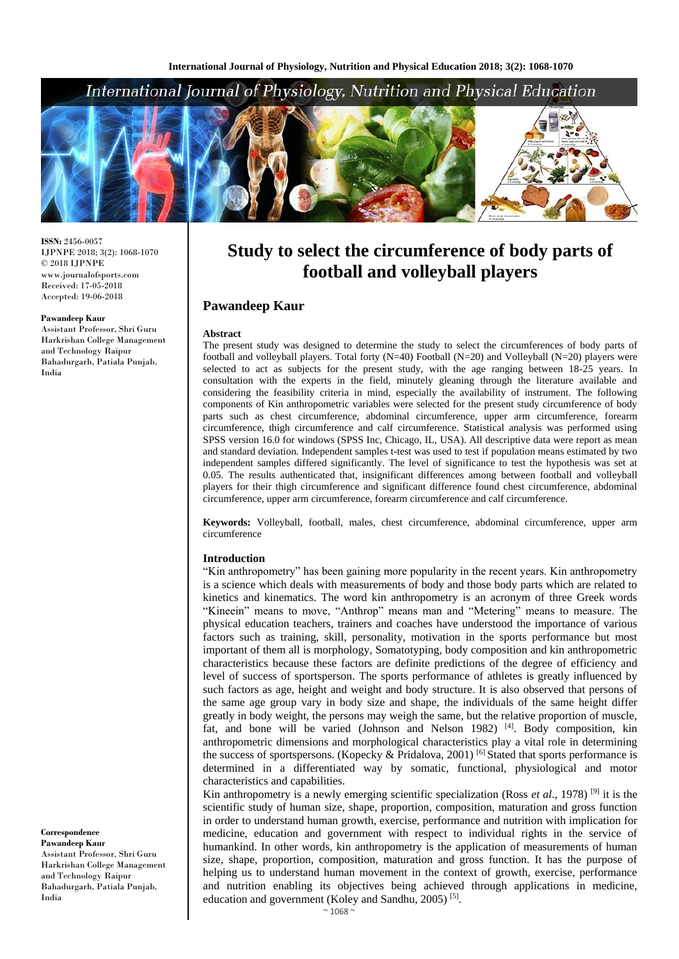## International Journal of Physiology, Nutrition and Physical Education



**ISSN:** 2456-0057 IJPNPE 2018; 3(2): 1068-1070  $\odot$  2018 IJPNPE www.journalofsports.com Received: 17-05-2018 Accepted: 19-06-2018

#### **Pawandeep Kaur**

Assistant Professor, Shri Guru Harkrishan College Management and Technology Raipur Bahadurgarh, Patiala Punjab, India

**Correspondence Pawandeep Kaur** Assistant Professor, Shri Guru Harkrishan College Management and Technology Raipur Bahadurgarh, Patiala Punjab, India

# **Study to select the circumference of body parts of football and volleyball players**

## **Pawandeep Kaur**

#### **Abstract**

The present study was designed to determine the study to select the circumferences of body parts of football and volleyball players. Total forty  $(N=40)$  Football  $(N=20)$  and Volleyball  $(N=20)$  players were selected to act as subjects for the present study, with the age ranging between 18-25 years. In consultation with the experts in the field, minutely gleaning through the literature available and considering the feasibility criteria in mind, especially the availability of instrument. The following components of Kin anthropometric variables were selected for the present study circumference of body parts such as chest circumference, abdominal circumference, upper arm circumference, forearm circumference, thigh circumference and calf circumference. Statistical analysis was performed using SPSS version 16.0 for windows (SPSS Inc, Chicago, IL, USA). All descriptive data were report as mean and standard deviation. Independent samples t-test was used to test if population means estimated by two independent samples differed significantly. The level of significance to test the hypothesis was set at 0.05. The results authenticated that, insignificant differences among between football and volleyball players for their thigh circumference and significant difference found chest circumference, abdominal circumference, upper arm circumference, forearm circumference and calf circumference.

**Keywords:** Volleyball, football, males, chest circumference, abdominal circumference, upper arm circumference

#### **Introduction**

"Kin anthropometry" has been gaining more popularity in the recent years. Kin anthropometry is a science which deals with measurements of body and those body parts which are related to kinetics and kinematics. The word kin anthropometry is an acronym of three Greek words "Kineein" means to move, "Anthrop" means man and "Metering" means to measure. The physical education teachers, trainers and coaches have understood the importance of various factors such as training, skill, personality, motivation in the sports performance but most important of them all is morphology, Somatotyping, body composition and kin anthropometric characteristics because these factors are definite predictions of the degree of efficiency and level of success of sportsperson. The sports performance of athletes is greatly influenced by such factors as age, height and weight and body structure. It is also observed that persons of the same age group vary in body size and shape, the individuals of the same height differ greatly in body weight, the persons may weigh the same, but the relative proportion of muscle, fat, and bone will be varied (Johnson and Nelson 1982) [4]. Body composition, kin anthropometric dimensions and morphological characteristics play a vital role in determining the success of sportspersons. (Kopecky & Pridalova, 2001) [6] Stated that sports performance is determined in a differentiated way by somatic, functional, physiological and motor characteristics and capabilities.

Kin anthropometry is a newly emerging scientific specialization (Ross *et al*., 1978) [9] it is the scientific study of human size, shape, proportion, composition, maturation and gross function in order to understand human growth, exercise, performance and nutrition with implication for medicine, education and government with respect to individual rights in the service of humankind. In other words, kin anthropometry is the application of measurements of human size, shape, proportion, composition, maturation and gross function. It has the purpose of helping us to understand human movement in the context of growth, exercise, performance and nutrition enabling its objectives being achieved through applications in medicine, education and government (Koley and Sandhu, 2005)<sup>[5]</sup>.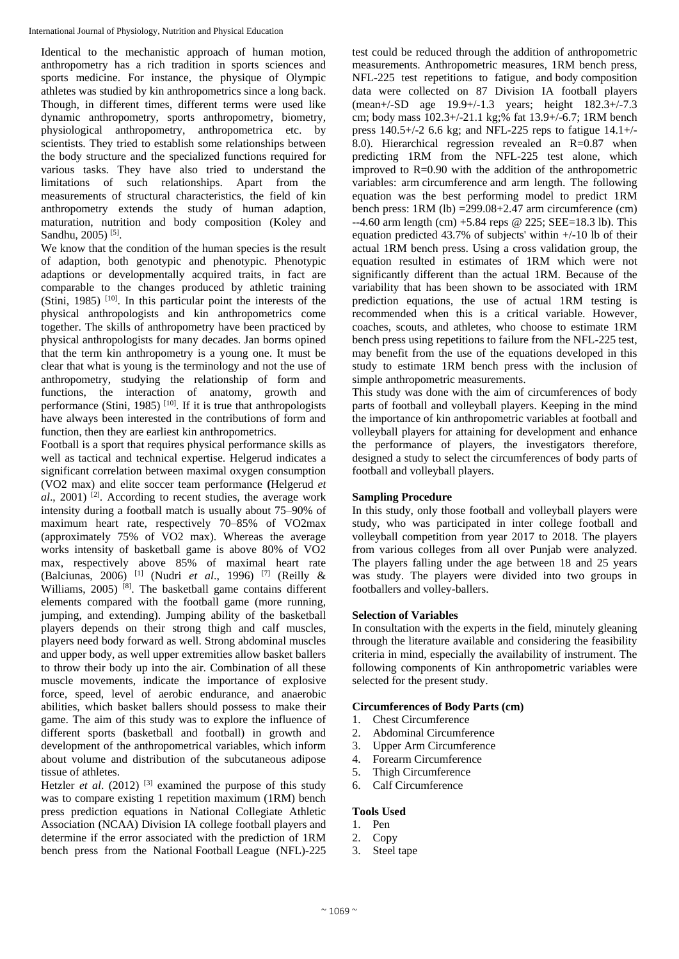Identical to the mechanistic approach of human motion, anthropometry has a rich tradition in sports sciences and sports medicine. For instance, the physique of Olympic athletes was studied by kin anthropometrics since a long back. Though, in different times, different terms were used like dynamic anthropometry, sports anthropometry, biometry, physiological anthropometry, anthropometrica etc. by scientists. They tried to establish some relationships between the body structure and the specialized functions required for various tasks. They have also tried to understand the limitations of such relationships. Apart from the measurements of structural characteristics, the field of kin anthropometry extends the study of human adaption, maturation, nutrition and body composition (Koley and Sandhu, 2005)<sup>[5]</sup>.

We know that the condition of the human species is the result of adaption, both genotypic and phenotypic. Phenotypic adaptions or developmentally acquired traits, in fact are comparable to the changes produced by athletic training (Stini, 1985) [10]. In this particular point the interests of the physical anthropologists and kin anthropometrics come together. The skills of anthropometry have been practiced by physical anthropologists for many decades. Jan borms opined that the term kin anthropometry is a young one. It must be clear that what is young is the terminology and not the use of anthropometry, studying the relationship of form and functions, the interaction of anatomy, growth and performance (Stini, 1985)<sup>[10]</sup>. If it is true that anthropologists have always been interested in the contributions of form and function, then they are earliest kin anthropometrics.

Football is a sport that requires physical performance skills as well as tactical and technical expertise. Helgerud indicates a significant correlation between maximal oxygen consumption (VO2 max) and elite soccer team performance **(**Helgerud *et*  al., 2001)<sup>[2]</sup>. According to recent studies, the average work intensity during a football match is usually about 75–90% of maximum heart rate, respectively 70–85% of VO2max (approximately 75% of VO2 max). Whereas the average works intensity of basketball game is above 80% of VO2 max, respectively above 85% of maximal heart rate (Balciunas, 2006) [1] (Nudri *et al*., 1996) [7] (Reilly & Williams, 2005) <sup>[8]</sup>. The basketball game contains different elements compared with the football game (more running, jumping, and extending). Jumping ability of the basketball players depends on their strong thigh and calf muscles, players need body forward as well. Strong abdominal muscles and upper body, as well upper extremities allow basket ballers to throw their body up into the air. Combination of all these muscle movements, indicate the importance of explosive force, speed, level of aerobic endurance, and anaerobic abilities, which basket ballers should possess to make their game. The aim of this study was to explore the influence of different sports (basketball and football) in growth and development of the anthropometrical variables, which inform about volume and distribution of the subcutaneous adipose tissue of athletes.

Hetzler *et al.* (2012)<sup>[3]</sup> examined the purpose of this study was to compare existing 1 repetition maximum (1RM) bench press prediction equations in National Collegiate Athletic Association (NCAA) Division IA college football players and determine if the error associated with the prediction of 1RM bench press from the National Football League (NFL)-225 test could be reduced through the addition of anthropometric measurements. Anthropometric measures, 1RM bench press, NFL-225 test repetitions to fatigue, and body composition data were collected on 87 Division IA football players (mean+/-SD age 19.9+/-1.3 years; height 182.3+/-7.3 cm; body mass 102.3+/-21.1 kg;% fat 13.9+/-6.7; 1RM bench press 140.5+/-2 6.6 kg; and NFL-225 reps to fatigue 14.1+/- 8.0). Hierarchical regression revealed an  $R=0.87$  when predicting 1RM from the NFL-225 test alone, which improved to  $R=0.90$  with the addition of the anthropometric variables: arm circumference and arm length. The following equation was the best performing model to predict 1RM bench press:  $1RM$  (lb)  $=299.08+2.47$  arm circumference (cm) --4.60 arm length (cm) +5.84 reps @ 225; SEE=18.3 lb). This equation predicted 43.7% of subjects' within +/-10 lb of their actual 1RM bench press. Using a cross validation group, the equation resulted in estimates of 1RM which were not significantly different than the actual 1RM. Because of the variability that has been shown to be associated with 1RM prediction equations, the use of actual 1RM testing is recommended when this is a critical variable. However, coaches, scouts, and athletes, who choose to estimate 1RM bench press using repetitions to failure from the NFL-225 test, may benefit from the use of the equations developed in this study to estimate 1RM bench press with the inclusion of simple anthropometric measurements.

This study was done with the aim of circumferences of body parts of football and volleyball players. Keeping in the mind the importance of kin anthropometric variables at football and volleyball players for attaining for development and enhance the performance of players, the investigators therefore, designed a study to select the circumferences of body parts of football and volleyball players.

## **Sampling Procedure**

In this study, only those football and volleyball players were study, who was participated in inter college football and volleyball competition from year 2017 to 2018. The players from various colleges from all over Punjab were analyzed. The players falling under the age between 18 and 25 years was study. The players were divided into two groups in footballers and volley-ballers.

## **Selection of Variables**

In consultation with the experts in the field, minutely gleaning through the literature available and considering the feasibility criteria in mind, especially the availability of instrument. The following components of Kin anthropometric variables were selected for the present study.

#### **Circumferences of Body Parts (cm)**

- 1. Chest Circumference
- 2. Abdominal Circumference
- 3. Upper Arm Circumference
- 4. Forearm Circumference
- 5. Thigh Circumference
- 6. Calf Circumference

## **Tools Used**

- 1. Pen
- 2. Copy
- 3. Steel tape